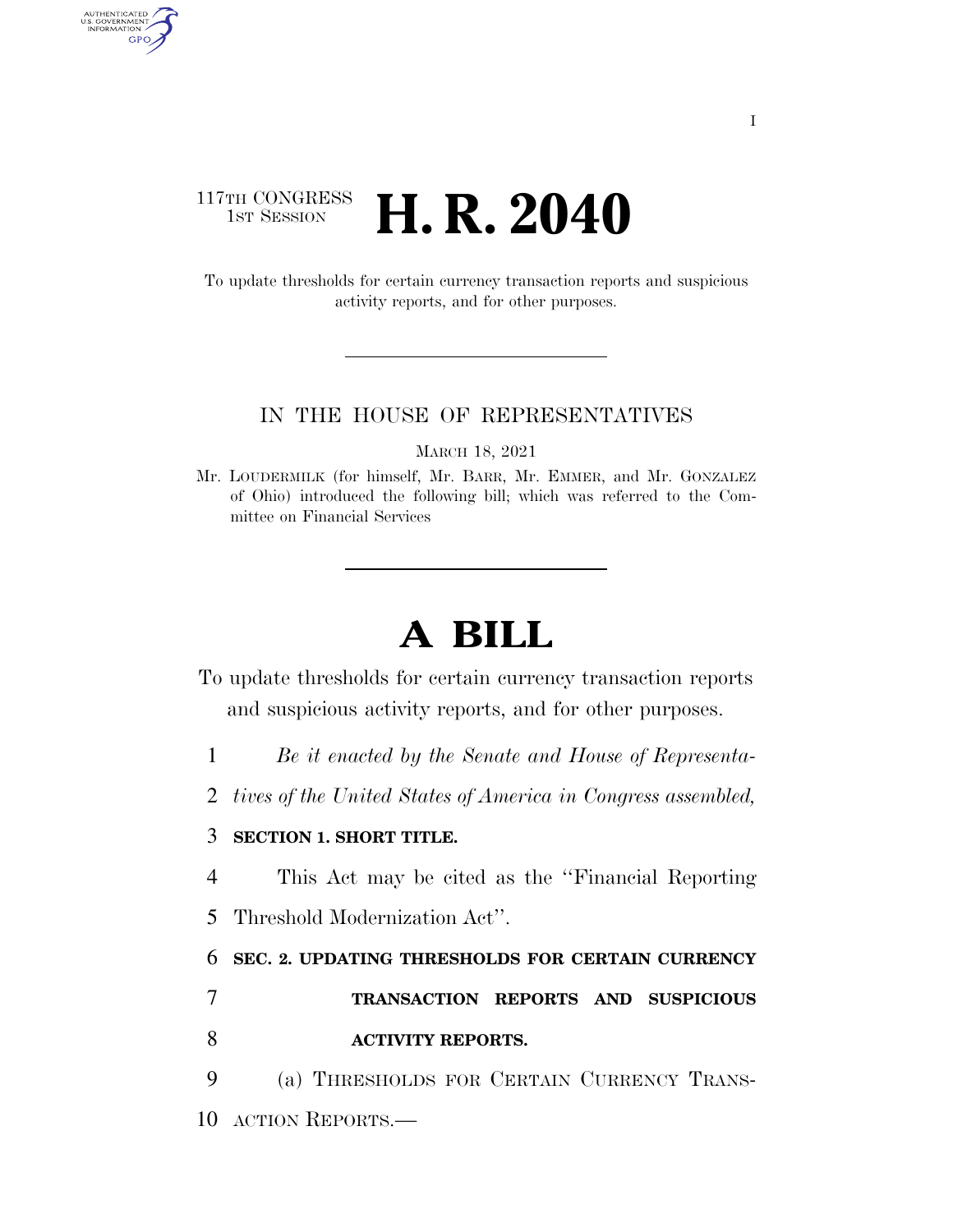### 117TH CONGRESS<br>1st Session **H. R. 2040**

AUTHENTICATED<br>U.S. GOVERNMENT<br>INFORMATION GPO

> To update thresholds for certain currency transaction reports and suspicious activity reports, and for other purposes.

#### IN THE HOUSE OF REPRESENTATIVES

MARCH 18, 2021

Mr. LOUDERMILK (for himself, Mr. BARR, Mr. EMMER, and Mr. GONZALEZ of Ohio) introduced the following bill; which was referred to the Committee on Financial Services

# **A BILL**

To update thresholds for certain currency transaction reports and suspicious activity reports, and for other purposes.

1 *Be it enacted by the Senate and House of Representa-*

2 *tives of the United States of America in Congress assembled,* 

#### 3 **SECTION 1. SHORT TITLE.**

4 This Act may be cited as the ''Financial Reporting 5 Threshold Modernization Act''.

#### 6 **SEC. 2. UPDATING THRESHOLDS FOR CERTAIN CURRENCY**

## 7 **TRANSACTION REPORTS AND SUSPICIOUS**  8 **ACTIVITY REPORTS.**

9 (a) THRESHOLDS FOR CERTAIN CURRENCY TRANS-10 ACTION REPORTS.—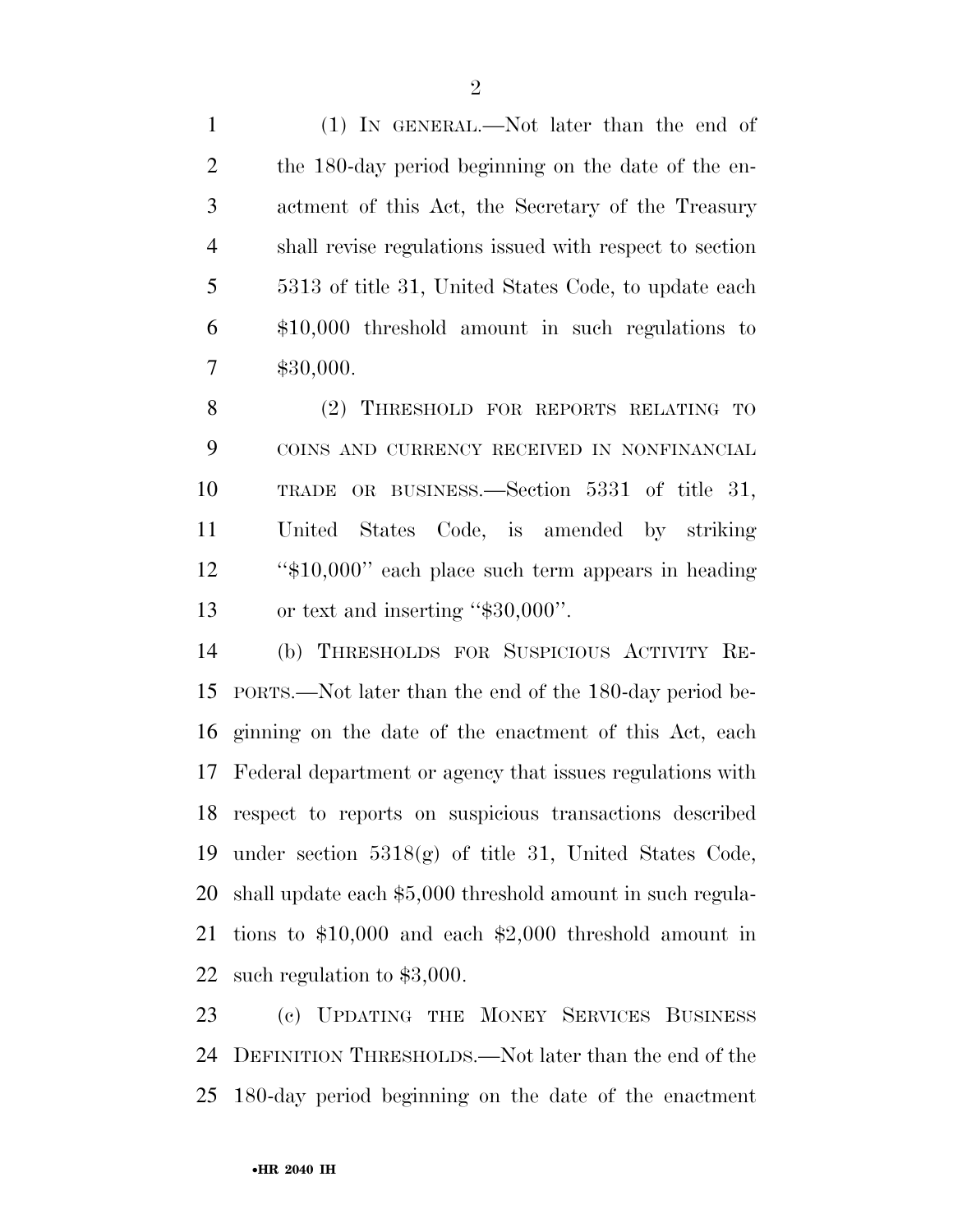(1) IN GENERAL.—Not later than the end of the 180-day period beginning on the date of the en- actment of this Act, the Secretary of the Treasury shall revise regulations issued with respect to section 5313 of title 31, United States Code, to update each \$10,000 threshold amount in such regulations to \$30,000.

 (2) THRESHOLD FOR REPORTS RELATING TO COINS AND CURRENCY RECEIVED IN NONFINANCIAL TRADE OR BUSINESS.—Section 5331 of title 31, United States Code, is amended by striking ''\$10,000'' each place such term appears in heading 13 or text and inserting "\$30,000".

 (b) THRESHOLDS FOR SUSPICIOUS ACTIVITY RE- PORTS.—Not later than the end of the 180-day period be- ginning on the date of the enactment of this Act, each Federal department or agency that issues regulations with respect to reports on suspicious transactions described under section 5318(g) of title 31, United States Code, shall update each \$5,000 threshold amount in such regula- tions to \$10,000 and each \$2,000 threshold amount in such regulation to \$3,000.

 (c) UPDATING THE MONEY SERVICES BUSINESS DEFINITION THRESHOLDS.—Not later than the end of the 180-day period beginning on the date of the enactment